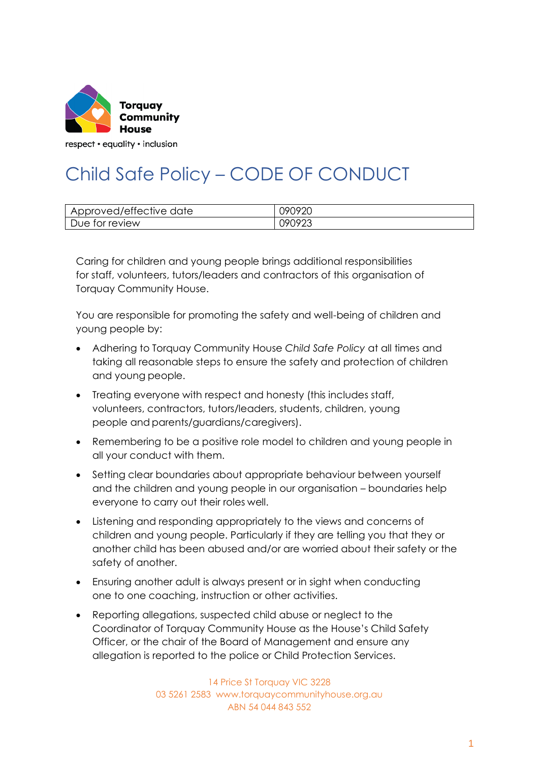

respect • equality • inclusion

## Child Safe Policy – CODE OF CONDUCT

| Approved/effective<br>date<br>ΑI | ገዓበዓንበ<br>ັ∠⊂             |
|----------------------------------|---------------------------|
| Due for review                   | $(19090^\circ)$<br>0707ZJ |

Caring for children and young people brings additional responsibilities for staff, volunteers, tutors/leaders and contractors of this organisation of Torquay Community House.

You are responsible for promoting the safety and well-being of children and young people by:

- Adhering to Torquay Community House *Child Safe Policy* at all times and taking all reasonable steps to ensure the safety and protection of children and young people.
- Treating everyone with respect and honesty (this includes staff, volunteers, contractors, tutors/leaders, students, children, young people and parents/guardians/caregivers).
- Remembering to be a positive role model to children and young people in all your conduct with them.
- Setting clear boundaries about appropriate behaviour between yourself and the children and young people in our organisation – boundaries help everyone to carry out their roles well.
- Listening and responding appropriately to the views and concerns of children and young people. Particularly if they are telling you that they or another child has been abused and/or are worried about their safety or the safety of another.
- Ensuring another adult is always present or in sight when conducting one to one coaching, instruction or other activities.
- Reporting allegations, suspected child abuse or neglect to the Coordinator of Torquay Community House as the House's Child Safety Officer, or the chair of the Board of Management and ensure any allegation is reported to the police or Child Protection Services.

14 Price St Torquay VIC 3228 03 5261 2583 www.torquaycommunityhouse.org.au ABN 54 044 843 552